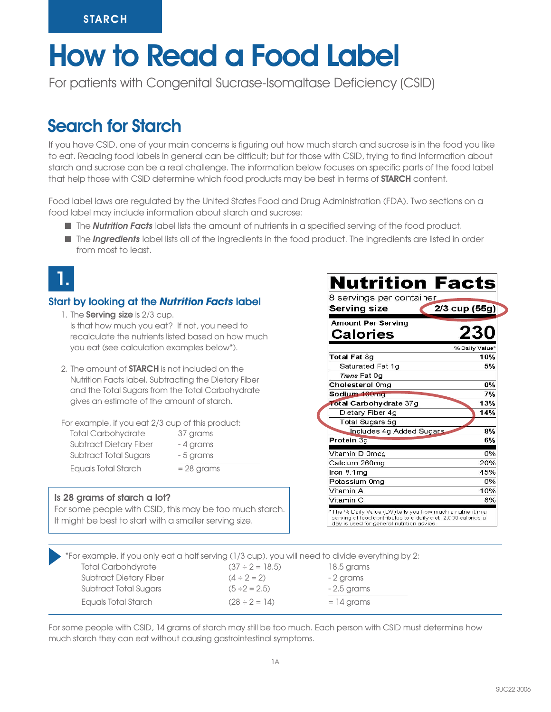# How to Read a Food Label

For patients with Congenital Sucrase-Isomaltase Deficiency (CSID)

# Search for Starch

If you have CSID, one of your main concerns is figuring out how much starch and sucrose is in the food you like to eat. Reading food labels in general can be difficult; but for those with CSID, trying to find information about starch and sucrose can be a real challenge. The information below focuses on specific parts of the food label that help those with CSID determine which food products may be best in terms of **STARCH** content.

Food label laws are regulated by the United States Food and Drug Administration (FDA). Two sections on a food label may include information about starch and sucrose:

- **n** The **Nutrition Facts** label lists the amount of nutrients in a specified serving of the food product.
- **n** The *Ingredients* label lists all of the ingredients in the food product. The ingredients are listed in order from most to least.



## Start by looking at the *Nutrition Facts* label

- 1. The **Serving size** is 2/3 cup. Is that how much you eat? If not, you need to recalculate the nutrients listed based on how much you eat (see calculation examples below\*).
- 2. The amount of **STARCH** is not included on the Nutrition Facts label. Subtracting the Dietary Fiber and the Total Sugars from the Total Carbohydrate gives an estimate of the amount of starch.

For example, if you eat 2/3 cup of this product:

| <b>Total Carbohydrate</b>     |
|-------------------------------|
| <b>Subtract Dietary Fiber</b> |
| Subtract Total Sugars         |
| Equals Total Starch           |

### Is 28 grams of starch a lot?

For some people with CSID, this may be too much starch. It might be best to start with a smaller serving size.

37 grams - 4 grams - 5 grams  $= 28$  grams

| 8 servings per container<br><b>Serving size</b> | 2/3 cup (55g)  |
|-------------------------------------------------|----------------|
| <b>Amount Per Serving</b><br><b>Calories</b>    | 230            |
|                                                 | % Daily Value* |
| Total Fat 8q                                    | 10%            |
| Saturated Fat 1g                                | 5%             |
| <i>Trans</i> Fat 0q                             |                |
| Cholesterol 0ma                                 | $0\%$          |
| Sodium 160mg                                    | 7%             |
| Total Carbohydrate 37g                          | 13%            |
| Dietary Fiber 4g                                | 14%            |
| Total Sugars 5g                                 |                |
| Includes 4g Added Sugars                        | 8%             |
| Protein 3g                                      | 6%             |
| Vitamin D 0mcg                                  | 0%             |
| Calcium 260mg                                   | 20%            |
| Iron 8.1mg                                      | 45%            |
| Potassium 0mg                                   | 0%             |
| Vitamin A                                       | 10%            |
| Vitamin C                                       | 8%             |

\*For example, if you only eat a half serving (1/3 cup), you will need to divide everything by 2: Total Carbohdyrate  $(37 \div 2 = 18.5)$  18.5 grams Subtract Dietary Fiber  $(4 \div 2 = 2)$  - 2 grams Subtract Total Sugars  $(5 \div 2 = 2.5)$  - 2.5 grams Equals Total Starch  $(28 \div 2 = 14)$   $= 14$  grams

For some people with CSID, 14 grams of starch may still be too much. Each person with CSID must determine how much starch they can eat without causing gastrointestinal symptoms.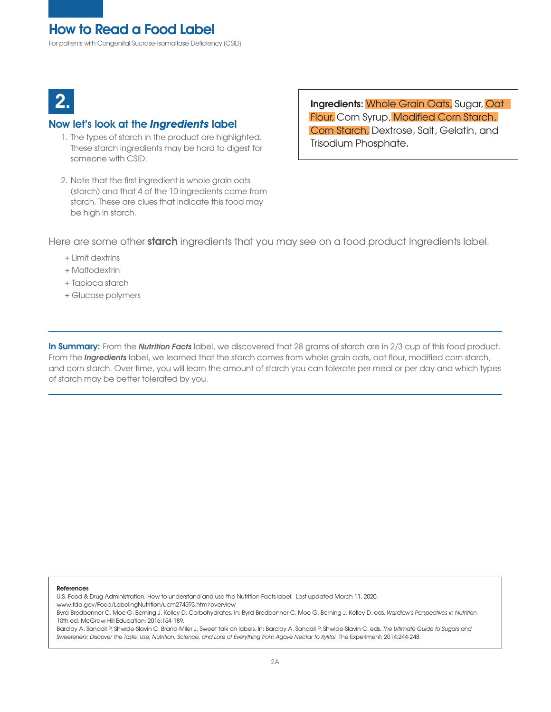For patients with Congenital Sucrase-Isomaltase Deficiency (CSID)



### Now let's look at the *Ingredients* label

- 1. The types of starch in the product are highlighted. These starch ingredients may be hard to digest for someone with CSID.
- 2. Note that the first ingredient is whole grain oats (starch) and that 4 of the 10 ingredients come from starch. These are clues that indicate this food may be high in starch.

**2.** Ingredients: Whole Grain Oats, Sugar, Oat Flour, Corn Syrup, Modified Corn Starch, Corn Starch, Dextrose, Salt, Gelatin, and Trisodium Phosphate.

Here are some other starch ingredients that you may see on a food product Ingredients label.

- + Limit dextrins
- + Maltodextrin
- + Tapioca starch
- + Glucose polymers

In Summary: From the *Nutrition Facts* label, we discovered that 28 grams of starch are in 2/3 cup of this food product. From the *Ingredients* label, we learned that the starch comes from whole grain oats, oat flour, modified corn starch, and corn starch. Over time, you will learn the amount of starch you can tolerate per meal or per day and which types of starch may be better tolerated by you.

#### References

U.S. Food & Drug Administration. How to understand and use the Nutrition Facts label. Last updated March 11, 2020. www.fda.gov/Food/LabelingNutrition/ucm274593.htm#overview

Byrd-Bredbenner C, Moe G, Berning J, Kelley D. Carbohydrates. In: Byrd-Bredbenner C, Moe G, Berning J, Kelley D, eds. *Wardlaw's Perspectives in Nutrition.* 10th ed. McGraw-Hill Education; 2016:154-189.

Barclay A, Sandall P, Shwide-Slavin C, Brand-Miler J. Sweet talk on labels. In: Barclay A, Sandall P, Shwide-Slavin C, eds. *The Ultimate Guide to Sugars and Sweeteners: Discover the Taste, Use, Nutrition, Science, and Lore of Everything from Agave Nectar to Xylitol.* The Experiment; 2014:244-248.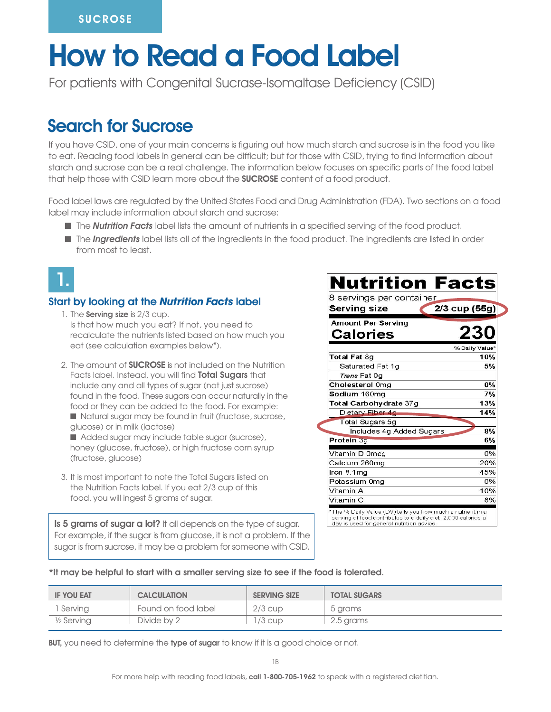# How to Read a Food Label

For patients with Congenital Sucrase-Isomaltase Deficiency (CSID)

# Search for Sucrose

If you have CSID, one of your main concerns is figuring out how much starch and sucrose is in the food you like to eat. Reading food labels in general can be difficult; but for those with CSID, trying to find information about starch and sucrose can be a real challenge. The information below focuses on specific parts of the food label that help those with CSID learn more about the **SUCROSE** content of a food product.

Food label laws are regulated by the United States Food and Drug Administration (FDA). Two sections on a food label may include information about starch and sucrose:

- **n The** *Nutrition Facts* label lists the amount of nutrients in a specified serving of the food product.
- n The *Ingredients* label lists all of the ingredients in the food product. The ingredients are listed in order from most to least.



## Start by looking at the *Nutrition Facts* label

- 1. The **Serving size** is 2/3 cup. Is that how much you eat? If not, you need to recalculate the nutrients listed based on how much you eat (see calculation examples below\*).
- 2. The amount of **SUCROSE** is not included on the Nutrition Facts label. Instead, you will find **Total Sugars** that include any and all types of sugar (not just sucrose) found in the food. These sugars can occur naturally in the food or they can be added to the food. For example:  $\blacksquare$  Natural sugar may be found in fruit (fructose, sucrose, glucose) or in milk (lactose)
	- Added sugar may include table sugar (sucrose), honey (glucose, fructose), or high fructose corn syrup (fructose, glucose)
- 3. It is most important to note the Total Sugars listed on the Nutrition Facts label. If you eat 2/3 cup of this food, you will ingest 5 grams of sugar.

Is 5 grams of sugar a lot? It all depends on the type of sugar. For example, if the sugar is from glucose, it is not a problem. If the sugar is from sucrose, it may be a problem for someone with CSID.

| 8 servings per container  |                 |
|---------------------------|-----------------|
| <b>Serving size</b>       | $2/3$ cup (55g) |
| <b>Amount Per Serving</b> |                 |
| Calories                  | 230             |
|                           | % Daily Value*  |
| Total Fat 8g              | 10%             |
| Saturated Fat 1g          | 5%              |
| Trans Fat Og              |                 |
| Cholesterol 0mg           | $0\%$           |
| Sodium 160mg              | 7%              |
| Total Carbohydrate 37g    | 13%             |
| Dietary Fiber 4g          | 14%             |
| Total Sugars 5g           |                 |
| Includes 4g Added Sugars  | 8%              |
| Protein 3g                | 6%              |
| Vitamin D 0mcg            | 0%              |
| Calcium 260mg             | 20%             |
| Iron 8.1mg                | 45%             |
| Potassium 0mg             | 0%              |
| Vitamin A                 | 10%             |
| Vitamin C                 | 8%              |

\*It may be helpful to start with a smaller serving size to see if the food is tolerated.

| <b>IF YOU EAT</b> | <b>CALCULATION</b>  | <b>SERVING SIZE</b> | <b>TOTAL SUGARS</b> |
|-------------------|---------------------|---------------------|---------------------|
| Serving           | Found on food label | $2/3$ cup           | 5 grams             |
| 1/2 Serving       | Divide by 2         | l /3 cup            | 2.5 grams           |

BUT, you need to determine the type of sugar to know if it is a good choice or not.